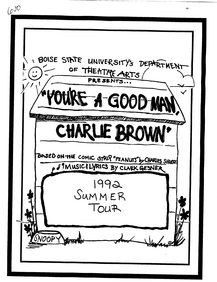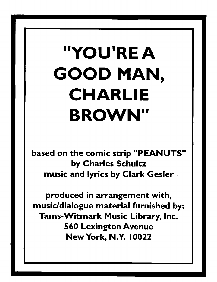## "YOU'RE A GOOD MAN, CHARLIE BROWN"

based on the comic strip "PEANUTS" by Charles Schultz music and lyrics by Clark Gesler

produced in arrangement with, music/dialogue material furnished by: Tams-Witmark Music Library, Inc. 560 Lexington Avenue New York, N.Y. I 0022